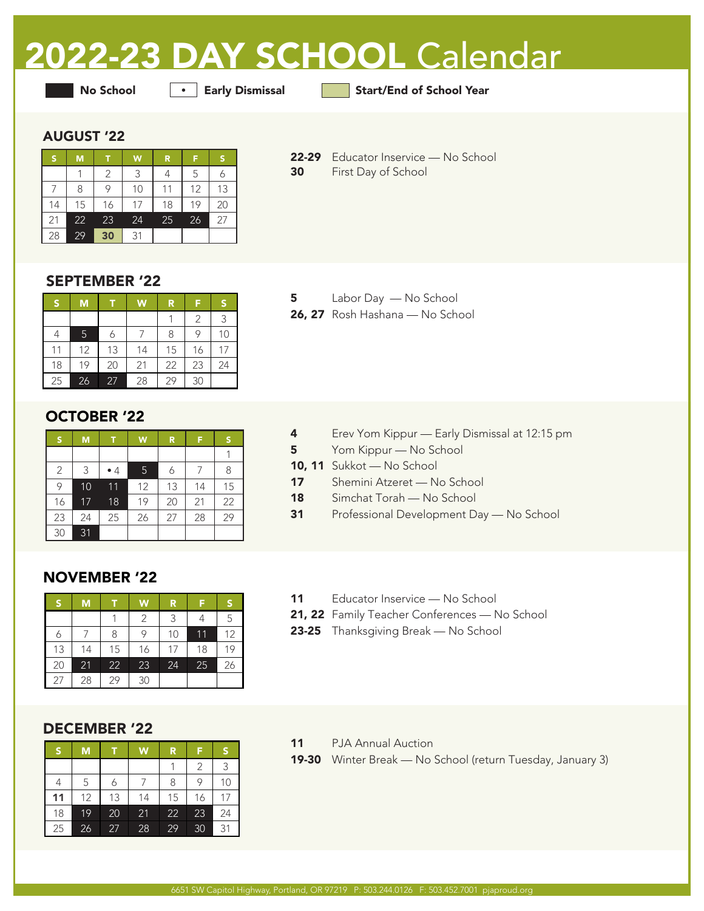# 2022-23 DAY SCHOOL Calendar

**•** Early Dismissal

No School **Early Dismissal** Start/End of School Year

### AUGUST '22

|    | M  |    | W  | R  |    |    |
|----|----|----|----|----|----|----|
|    |    | 2  | 3  |    | 5  |    |
|    | 8  | 9  | 10 | 11 | 12 | 13 |
| 14 | 15 | 16 | 17 | 18 | 19 | 20 |
| 21 | 22 | 23 | 24 | 25 | 26 | 27 |
| 28 | 29 | 30 | 31 |    |    |    |

22-29 Educator Inservice — No School 30 First Day of School

SEPTEMBER '22

| 'S | M               |    | W  | R  | F  |    |
|----|-----------------|----|----|----|----|----|
|    |                 |    |    |    | 2  | 3  |
|    | 5               | 6  |    | 8  | 9  | 10 |
| 11 | 12              | 13 | 14 | 15 | 16 | 17 |
| 18 | 19              | 20 | 21 | 22 | 23 | 24 |
| 25 | $\overline{2}6$ | 27 | 28 | 29 | 30 |    |

OCTOBER '22

| $\mathsf{s}$   | M  | т  | W  | R  | F  | S  |
|----------------|----|----|----|----|----|----|
|                |    |    |    |    |    |    |
| $\overline{2}$ | 3  | •4 | 5  | 6  | 7  | 8  |
| 9              | 10 | 11 | 12 | 13 | 14 | 15 |
| 16             | 17 | 18 | 19 | 20 | 21 | 22 |
| 23             | 24 | 25 | 26 | 27 | 28 | 29 |
| 30             | 31 |    |    |    |    |    |

5 Labor Day — No School 26, 27 Rosh Hashana — No School

- 4 Erev Yom Kippur Early Dismissal at 12:15 pm
- 5 Yom Kippur No School
- 10, 11 Sukkot No School
- 17 Shemini Atzeret No School
- 18 Simchat Torah No School
- 31 Professional Development Day No School

# NOVEMBER '22

| ß  | M  | т  | W  | R  | F  | S  |
|----|----|----|----|----|----|----|
|    |    |    | 2  | 3  |    | 5  |
|    |    | 8  |    | 10 | 11 | 12 |
| 13 | 14 | 15 | 16 | 17 | 18 | 19 |
| 20 | 21 | 22 | 23 | 24 | 25 | 26 |
| 27 | 28 | 29 | 30 |    |    |    |

# DECEMBER '22

| S  | M  |    | W  | R  | F  |    |
|----|----|----|----|----|----|----|
|    |    |    |    |    | 2  | 3  |
|    | 5  |    |    | 8  | 9  | 10 |
| 11 | 12 | 13 | 14 | 15 | 16 | 17 |
| 18 | 19 | 20 | 21 | 22 | 23 | 24 |
| 25 | 26 | 27 | 28 | 29 | 30 | 31 |

- 11 Educator Inservice No School
- 21, 22 Family Teacher Conferences No School
- 23-25 Thanksgiving Break No School

- 11 PJA Annual Auction
- 19-30 Winter Break No School (return Tuesday, January 3)